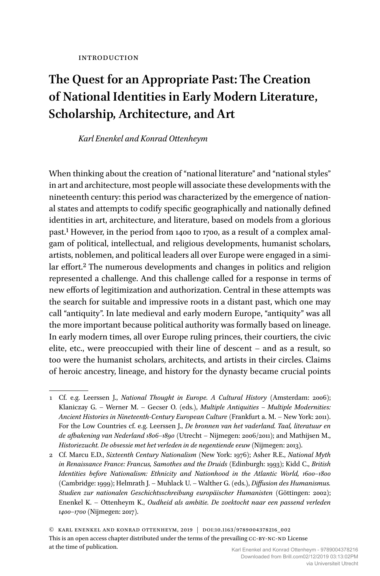# **The Quest for an Appropriate Past: The Creation of National Identities in Early Modern Literature, Scholarship, Architecture, and Art**

#### *Karl Enenkel and Konrad Ottenheym*

When thinking about the creation of "national literature" and "national styles" in art and architecture, most people will associate these developments with the nineteenth century: this period was characterized by the emergence of national states and attempts to codify specific geographically and nationally defined identities in art, architecture, and literature, based on models from a glorious past.1 However, in the period from 1400 to 1700, as a result of a complex amalgam of political, intellectual, and religious developments, humanist scholars, artists, noblemen, and political leaders all over Europe were engaged in a similar effort.<sup>2</sup> The numerous developments and changes in politics and religion represented a challenge. And this challenge called for a response in terms of new efforts of legitimization and authorization. Central in these attempts was the search for suitable and impressive roots in a distant past, which one may call "antiquity". In late medieval and early modern Europe, "antiquity" was all the more important because political authority was formally based on lineage. In early modern times, all over Europe ruling princes, their courtiers, the civic elite, etc., were preoccupied with their line of descent – and as a result, so too were the humanist scholars, architects, and artists in their circles. Claims of heroic ancestry, lineage, and history for the dynasty became crucial points

2 Cf. Marcu E.D., *Sixteenth Century Nationalism* (New York: 1976); Asher R.E., *National Myth in Renaissance France: Francus, Samothes and the Druids* (Edinburgh: 1993); Kidd C., *British Identities before Nationalism: Ethnicity and Nationhood in the Atlantic World, 1600–1800* (Cambridge: 1999); Helmrath J. – Muhlack U. – Walther G. (eds.), *Diffusion des Humanismus. Studien zur nationalen Geschichtsschreibung europäischer Humanisten* (Göttingen: 2002); Enenkel K. – Ottenheym K., *Oudheid als ambitie. De zoektocht naar een passend verleden 1400–1700* (Nijmegen: 2017).

© Karl Enenkel and Konrad Ottenheym, 2019 | doi:10.1163/9789004378216\_002 This is an open access chapter distributed under the terms of the prevailing CC-BY-NC-ND License at the time of publication.

<sup>1</sup> Cf. e.g. Leerssen J., *National Thought in Europe. A Cultural History* (Amsterdam: 2006); Klaniczay G. – Werner M. – Gecser O. (eds.), *Multiple Antiquities – Multiple Modernities: Ancient Histories in Nineteenth-Century European Culture* (Frankfurt a. M. – New York: 2011). For the Low Countries cf. e.g. Leerssen J., *De bronnen van het vaderland. Taal, literatuur en de afbakening van Nederland 1806–1890* (Utrecht – Nijmegen: 2006/2011); and Mathijsen M., *Historiezucht. De obsessie met het verleden in de negentiende eeuw* (Nijmegen: 2013).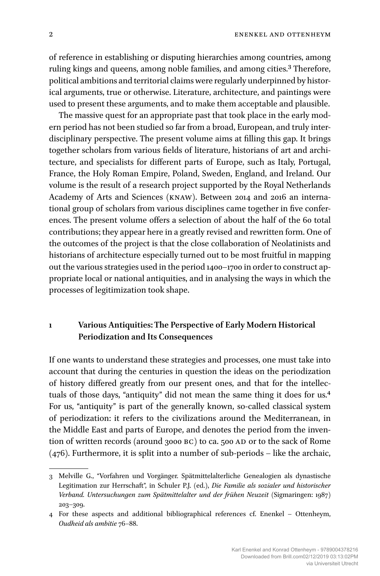of reference in establishing or disputing hierarchies among countries, among ruling kings and queens, among noble families, and among cities.3 Therefore, political ambitions and territorial claims were regularly underpinned by historical arguments, true or otherwise. Literature, architecture, and paintings were used to present these arguments, and to make them acceptable and plausible.

The massive quest for an appropriate past that took place in the early modern period has not been studied so far from a broad, European, and truly interdisciplinary perspective. The present volume aims at filling this gap. It brings together scholars from various fields of literature, historians of art and architecture, and specialists for different parts of Europe, such as Italy, Portugal, France, the Holy Roman Empire, Poland, Sweden, England, and Ireland. Our volume is the result of a research project supported by the Royal Netherlands Academy of Arts and Sciences (KNAW). Between 2014 and 2016 an international group of scholars from various disciplines came together in five conferences. The present volume offers a selection of about the half of the 60 total contributions; they appear here in a greatly revised and rewritten form. One of the outcomes of the project is that the close collaboration of Neolatinists and historians of architecture especially turned out to be most fruitful in mapping out the various strategies used in the period 1400–1700 in order to construct appropriate local or national antiquities, and in analysing the ways in which the processes of legitimization took shape.

## **1 Various Antiquities: The Perspective of Early Modern Historical Periodization and Its Consequences**

If one wants to understand these strategies and processes, one must take into account that during the centuries in question the ideas on the periodization of history differed greatly from our present ones, and that for the intellectuals of those days, "antiquity" did not mean the same thing it does for us.4 For us, "antiquity" is part of the generally known, so-called classical system of periodization: it refers to the civilizations around the Mediterranean, in the Middle East and parts of Europe, and denotes the period from the invention of written records (around 3000 BC) to ca. 500 AD or to the sack of Rome (476). Furthermore, it is split into a number of sub-periods – like the archaic,

<sup>3</sup> Melville G., "Vorfahren und Vorgänger. Spätmittelalterliche Genealogien als dynastische Legitimation zur Herrschaft", in Schuler P.J. (ed.), *Die Familie als sozialer und historischer Verband. Untersuchungen zum Spätmittelalter und der frühen Neuzeit* (Sigmaringen: 1987) 203–309.

<sup>4</sup> For these aspects and additional bibliographical references cf. Enenkel – Ottenheym, *Oudheid als ambitie* 76–88.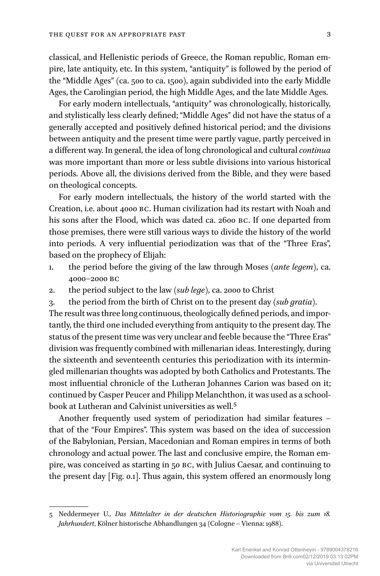classical, and Hellenistic periods of Greece, the Roman republic, Roman empire, late antiquity, etc. In this system, "antiquity" is followed by the period of the "Middle Ages" (ca. 500 to ca. 1500), again subdivided into the early Middle Ages, the Carolingian period, the high Middle Ages, and the late Middle Ages.

For early modern intellectuals, "antiquity" was chronologically, historically, and stylistically less clearly defined; "Middle Ages" did not have the status of a generally accepted and positively defined historical period; and the divisions between antiquity and the present time were partly vague, partly perceived in a different way. In general, the idea of long chronological and cultural *continua* was more important than more or less subtle divisions into various historical periods. Above all, the divisions derived from the Bible, and they were based on theological concepts.

For early modern intellectuals, the history of the world started with the Creation, i.e. about 4000 BC. Human civilization had its restart with Noah and his sons after the Flood, which was dated ca. 2600 BC. If one departed from those premises, there were still various ways to divide the history of the world into periods. A very influential periodization was that of the "Three Eras", based on the prophecy of Elijah:

- 1. the period before the giving of the law through Moses (*ante legem*), ca. 4000–2000 BC
- 2. the period subject to the law (*sub lege*), ca. 2000 to Christ
- 3. the period from the birth of Christ on to the present day (*sub gratia*).

The result was three long continuous, theologically defined periods, and importantly, the third one included everything from antiquity to the present day. The status of the present time was very unclear and feeble because the "Three Eras" division was frequently combined with millenarian ideas. Interestingly, during the sixteenth and seventeenth centuries this periodization with its intermingled millenarian thoughts was adopted by both Catholics and Protestants. The most influential chronicle of the Lutheran Johannes Carion was based on it; continued by Casper Peucer and Philipp Melanchthon, it was used as a schoolbook at Lutheran and Calvinist universities as well.5

Another frequently used system of periodization had similar features – that of the "Four Empires". This system was based on the idea of succession of the Babylonian, Persian, Macedonian and Roman empires in terms of both chronology and actual power. The last and conclusive empire, the Roman empire, was conceived as starting in 50 BC, with Julius Caesar, and continuing to the present day [Fig. 0.1]. Thus again, this system offered an enormously long

<sup>5</sup> Neddermeyer U., *Das Mittelalter in der deutschen Historiographie vom 15. bis zum 18. Jahrhundert*, Kölner historische Abhandlungen 34 (Cologne – Vienna: 1988).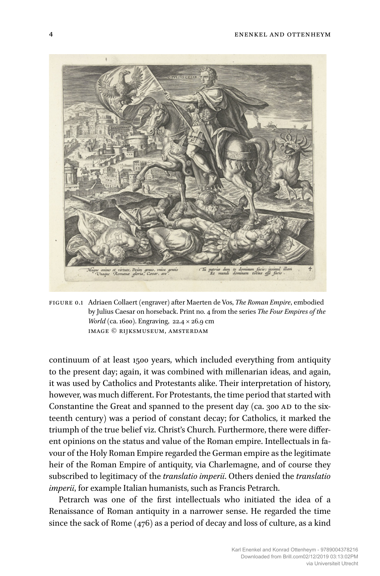

figure 0.1 Adriaen Collaert (engraver) after Maerten de Vos, *The Roman Empire*, embodied by Julius Caesar on horseback. Print no. 4 from the series *The Four Empires of the World* (ca. 1600). Engraving, 22.4 × 26.9 cm Image © Rijksmuseum, Amsterdam

continuum of at least 1500 years, which included everything from antiquity to the present day; again, it was combined with millenarian ideas, and again, it was used by Catholics and Protestants alike. Their interpretation of history, however, was much different. For Protestants, the time period that started with Constantine the Great and spanned to the present day (ca. 300 AD to the sixteenth century) was a period of constant decay; for Catholics, it marked the triumph of the true belief viz. Christ's Church. Furthermore, there were different opinions on the status and value of the Roman empire. Intellectuals in favour of the Holy Roman Empire regarded the German empire as the legitimate heir of the Roman Empire of antiquity, via Charlemagne, and of course they subscribed to legitimacy of the *translatio imperii*. Others denied the *translatio imperii*, for example Italian humanists, such as Francis Petrarch.

Petrarch was one of the first intellectuals who initiated the idea of a Renaissance of Roman antiquity in a narrower sense. He regarded the time since the sack of Rome (476) as a period of decay and loss of culture, as a kind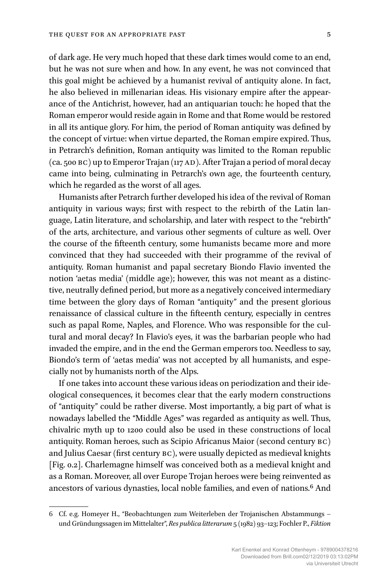of dark age. He very much hoped that these dark times would come to an end, but he was not sure when and how. In any event, he was not convinced that this goal might be achieved by a humanist revival of antiquity alone. In fact, he also believed in millenarian ideas. His visionary empire after the appearance of the Antichrist, however, had an antiquarian touch: he hoped that the Roman emperor would reside again in Rome and that Rome would be restored in all its antique glory. For him, the period of Roman antiquity was defined by the concept of virtue: when virtue departed, the Roman empire expired. Thus, in Petrarch's definition, Roman antiquity was limited to the Roman republic (ca. 500 BC) up to Emperor Trajan (117 AD). After Trajan a period of moral decay came into being, culminating in Petrarch's own age, the fourteenth century, which he regarded as the worst of all ages.

Humanists after Petrarch further developed his idea of the revival of Roman antiquity in various ways; first with respect to the rebirth of the Latin language, Latin literature, and scholarship, and later with respect to the "rebirth" of the arts, architecture, and various other segments of culture as well. Over the course of the fifteenth century, some humanists became more and more convinced that they had succeeded with their programme of the revival of antiquity. Roman humanist and papal secretary Biondo Flavio invented the notion 'aetas media' (middle age); however, this was not meant as a distinctive, neutrally defined period, but more as a negatively conceived intermediary time between the glory days of Roman "antiquity" and the present glorious renaissance of classical culture in the fifteenth century, especially in centres such as papal Rome, Naples, and Florence. Who was responsible for the cultural and moral decay? In Flavio's eyes, it was the barbarian people who had invaded the empire, and in the end the German emperors too. Needless to say, Biondo's term of 'aetas media' was not accepted by all humanists, and especially not by humanists north of the Alps.

If one takes into account these various ideas on periodization and their ideological consequences, it becomes clear that the early modern constructions of "antiquity" could be rather diverse. Most importantly, a big part of what is nowadays labelled the "Middle Ages" was regarded as antiquity as well. Thus, chivalric myth up to 1200 could also be used in these constructions of local antiquity. Roman heroes, such as Scipio Africanus Maior (second century BC) and Julius Caesar (first century BC), were usually depicted as medieval knights [Fig. 0.2]. Charlemagne himself was conceived both as a medieval knight and as a Roman. Moreover, all over Europe Trojan heroes were being reinvented as ancestors of various dynasties, local noble families, and even of nations.6 And

<sup>6</sup> Cf. e.g. Homeyer H., "Beobachtungen zum Weiterleben der Trojanischen Abstammungs – und Gründungssagen im Mittelalter", *Res publica litterarum* 5 (1982) 93–123; Fochler P., *Fiktion*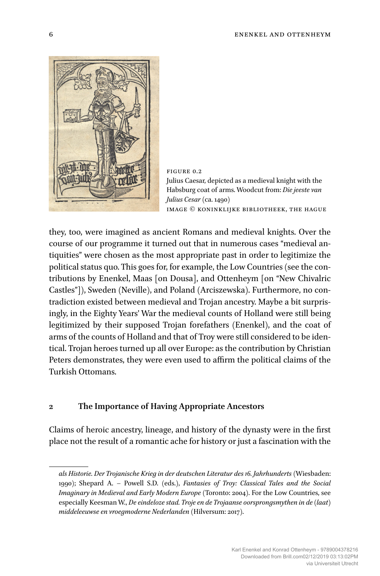

figure 0.2 Julius Caesar, depicted as a medieval knight with the Habsburg coat of arms. Woodcut from: *Die jeeste van Julius Cesar* (ca. 1490) Image © Koninklijke Bibliotheek, The Hague

they, too, were imagined as ancient Romans and medieval knights. Over the course of our programme it turned out that in numerous cases "medieval antiquities" were chosen as the most appropriate past in order to legitimize the political status quo. This goes for, for example, the Low Countries (see the contributions by Enenkel, Maas [on Dousa], and Ottenheym [on "New Chivalric Castles"]), Sweden (Neville), and Poland (Arciszewska). Furthermore, no contradiction existed between medieval and Trojan ancestry. Maybe a bit surprisingly, in the Eighty Years' War the medieval counts of Holland were still being legitimized by their supposed Trojan forefathers (Enenkel), and the coat of arms of the counts of Holland and that of Troy were still considered to be identical. Trojan heroes turned up all over Europe: as the contribution by Christian Peters demonstrates, they were even used to affirm the political claims of the Turkish Ottomans.

#### **2 The Importance of Having Appropriate Ancestors**

Claims of heroic ancestry, lineage, and history of the dynasty were in the first place not the result of a romantic ache for history or just a fascination with the

*als Historie. Der Trojanische Krieg in der deutschen Literatur des 16. Jahrhunderts* (Wiesbaden: 1990); Shepard A. – Powell S.D. (eds.), *Fantasies of Troy: Classical Tales and the Social Imaginary in Medieval and Early Modern Europe* (Toronto: 2004). For the Low Countries, see especially Keesman W., *De eindeloze stad. Troje en de Trojaanse oorsprongsmythen in de (laat) middeleeuwse en vroegmoderne Nederlanden* (Hilversum: 2017).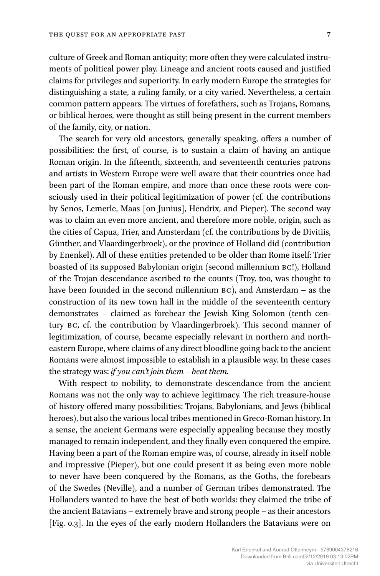culture of Greek and Roman antiquity; more often they were calculated instruments of political power play. Lineage and ancient roots caused and justified claims for privileges and superiority. In early modern Europe the strategies for distinguishing a state, a ruling family, or a city varied. Nevertheless, a certain common pattern appears. The virtues of forefathers, such as Trojans, Romans, or biblical heroes, were thought as still being present in the current members of the family, city, or nation.

The search for very old ancestors, generally speaking, offers a number of possibilities: the first, of course, is to sustain a claim of having an antique Roman origin. In the fifteenth, sixteenth, and seventeenth centuries patrons and artists in Western Europe were well aware that their countries once had been part of the Roman empire, and more than once these roots were consciously used in their political legitimization of power (cf. the contributions by Senos, Lemerle, Maas [on Junius], Hendrix, and Pieper). The second way was to claim an even more ancient, and therefore more noble, origin, such as the cities of Capua, Trier, and Amsterdam (cf. the contributions by de Divitiis, Günther, and Vlaardingerbroek), or the province of Holland did (contribution by Enenkel). All of these entities pretended to be older than Rome itself: Trier boasted of its supposed Babylonian origin (second millennium BC!), Holland of the Trojan descendance ascribed to the counts (Troy, too, was thought to have been founded in the second millennium BC), and Amsterdam – as the construction of its new town hall in the middle of the seventeenth century demonstrates – claimed as forebear the Jewish King Solomon (tenth century BC, cf. the contribution by Vlaardingerbroek). This second manner of legitimization, of course, became especially relevant in northern and northeastern Europe, where claims of any direct bloodline going back to the ancient Romans were almost impossible to establish in a plausible way. In these cases the strategy was: *if you can't join them – beat them.*

With respect to nobility, to demonstrate descendance from the ancient Romans was not the only way to achieve legitimacy. The rich treasure-house of history offered many possibilities: Trojans, Babylonians, and Jews (biblical heroes), but also the various local tribes mentioned in Greco-Roman history. In a sense, the ancient Germans were especially appealing because they mostly managed to remain independent, and they finally even conquered the empire. Having been a part of the Roman empire was, of course, already in itself noble and impressive (Pieper), but one could present it as being even more noble to never have been conquered by the Romans, as the Goths, the forebears of the Swedes (Neville), and a number of German tribes demonstrated. The Hollanders wanted to have the best of both worlds: they claimed the tribe of the ancient Batavians – extremely brave and strong people – as their ancestors [Fig. 0.3]. In the eyes of the early modern Hollanders the Batavians were on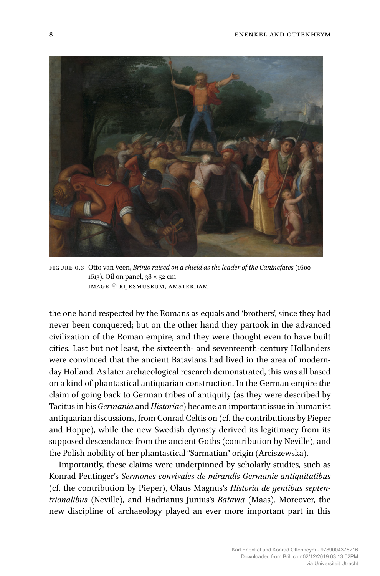

figure 0.3 Otto van Veen, *Brinio raised on a shield as the leader of the Caninefates* (1600 – 1613). Oil on panel, 38 × 52 cm Image © Rijksmuseum, Amsterdam

the one hand respected by the Romans as equals and 'brothers', since they had never been conquered; but on the other hand they partook in the advanced civilization of the Roman empire, and they were thought even to have built cities. Last but not least, the sixteenth- and seventeenth-century Hollanders were convinced that the ancient Batavians had lived in the area of modernday Holland. As later archaeological research demonstrated, this was all based on a kind of phantastical antiquarian construction. In the German empire the claim of going back to German tribes of antiquity (as they were described by Tacitus in his *Germania* and *Historiae*) became an important issue in humanist antiquarian discussions, from Conrad Celtis on (cf. the contributions by Pieper and Hoppe), while the new Swedish dynasty derived its legitimacy from its supposed descendance from the ancient Goths (contribution by Neville), and the Polish nobility of her phantastical "Sarmatian" origin (Arciszewska).

Importantly, these claims were underpinned by scholarly studies, such as Konrad Peutinger's *Sermones convivales de mirandis Germanie antiquitatibus* (cf. the contribution by Pieper), Olaus Magnus's *Historia de gentibus septentrionalibus* (Neville), and Hadrianus Junius's *Batavia* (Maas). Moreover, the new discipline of archaeology played an ever more important part in this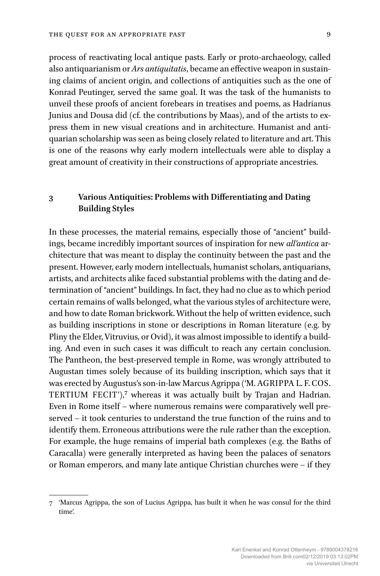process of reactivating local antique pasts. Early or proto-archaeology, called also antiquarianism or *Ars antiquitatis*, became an effective weapon in sustaining claims of ancient origin, and collections of antiquities such as the one of Konrad Peutinger, served the same goal. It was the task of the humanists to unveil these proofs of ancient forebears in treatises and poems, as Hadrianus Junius and Dousa did (cf. the contributions by Maas), and of the artists to express them in new visual creations and in architecture. Humanist and antiquarian scholarship was seen as being closely related to literature and art. This is one of the reasons why early modern intellectuals were able to display a great amount of creativity in their constructions of appropriate ancestries.

## **3 Various Antiquities: Problems with Differentiating and Dating Building Styles**

In these processes, the material remains, especially those of "ancient" buildings, became incredibly important sources of inspiration for new *all'antica* architecture that was meant to display the continuity between the past and the present. However, early modern intellectuals, humanist scholars, antiquarians, artists, and architects alike faced substantial problems with the dating and determination of "ancient" buildings. In fact, they had no clue as to which period certain remains of walls belonged, what the various styles of architecture were, and how to date Roman brickwork. Without the help of written evidence, such as building inscriptions in stone or descriptions in Roman literature (e.g. by Pliny the Elder, Vitruvius, or Ovid), it was almost impossible to identify a building. And even in such cases it was difficult to reach any certain conclusion. The Pantheon, the best-preserved temple in Rome, was wrongly attributed to Augustan times solely because of its building inscription, which says that it was erected by Augustus's son-in-law Marcus Agrippa ('M. AGRIPPA L. F. COS. TERTIUM FECIT'),<sup>7</sup> whereas it was actually built by Trajan and Hadrian. Even in Rome itself – where numerous remains were comparatively well preserved – it took centuries to understand the true function of the ruins and to identify them. Erroneous attributions were the rule rather than the exception. For example, the huge remains of imperial bath complexes (e.g. the Baths of Caracalla) were generally interpreted as having been the palaces of senators or Roman emperors, and many late antique Christian churches were – if they

<sup>7 &#</sup>x27;Marcus Agrippa, the son of Lucius Agrippa, has built it when he was consul for the third time'.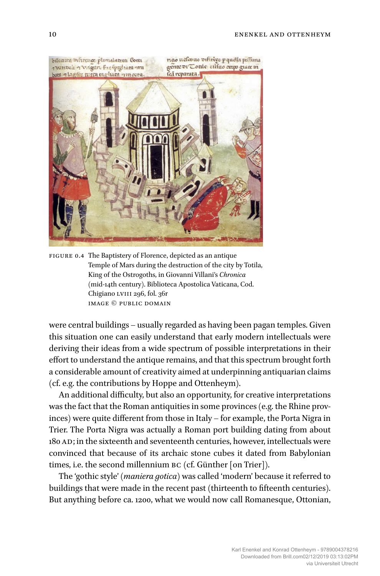

FIGURE 0.4 The Baptistery of Florence, depicted as an antique Temple of Mars during the destruction of the city by Totila, King of the Ostrogoths, in Giovanni Villani's *Chronica* (mid-14th century). Biblioteca Apostolica Vaticana, Cod. Chigiano LVIII 296, fol. 36r Image © public domain

were central buildings – usually regarded as having been pagan temples. Given this situation one can easily understand that early modern intellectuals were deriving their ideas from a wide spectrum of possible interpretations in their effort to understand the antique remains, and that this spectrum brought forth a considerable amount of creativity aimed at underpinning antiquarian claims (cf. e.g. the contributions by Hoppe and Ottenheym).

An additional difficulty, but also an opportunity, for creative interpretations was the fact that the Roman antiquities in some provinces (e.g. the Rhine provinces) were quite different from those in Italy – for example, the Porta Nigra in Trier. The Porta Nigra was actually a Roman port building dating from about 180 AD; in the sixteenth and seventeenth centuries, however, intellectuals were convinced that because of its archaic stone cubes it dated from Babylonian times, i.e. the second millennium BC (cf. Günther [on Trier]).

The 'gothic style' (*maniera gotica*) was called 'modern' because it referred to buildings that were made in the recent past (thirteenth to fifteenth centuries). But anything before ca. 1200, what we would now call Romanesque, Ottonian,